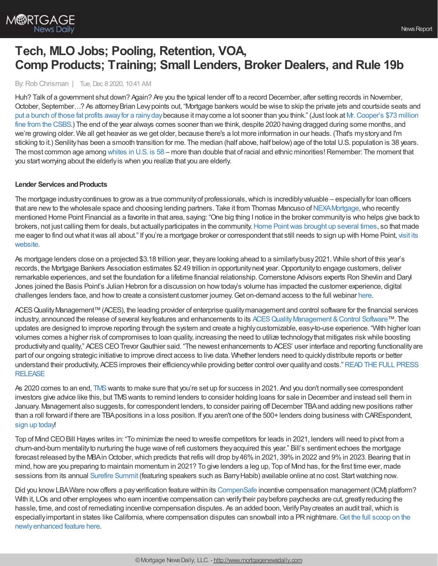# **Tech, MLO Jobs; Pooling, Retention, VOA, Comp Products; Training; Small Lenders, Broker Dealers, and Rule 19b**

By:Rob Chrisman | Tue, Dec 8 2020, 10:41 AM

Huh? Talk of a government shut down? Again? Are you the typical lender off to a record December, after setting records in November, October, September...? As attorney Brian Levy points out, "Mortgage bankers would be wise to skip the private jets and courtside seats and put a bunch of those fat profits awayfor a [rainydaybecause](https://www.csbs.org/2020-settlement-agreement-and-consent-order) it maycome a lot sooner than you think." (Just look at Mr.Cooper's \$73 million fine from the CSBS.) The end of the year always comes sooner than we think, despite 2020 having dragged during some months, and we're growing older. We all get heavier as we get older, because there's a lot more information in our heads. (That's mystoryand I'm sticking to it.) Senilityhas been a smooth transition for me. The median (half above, half below) age of the total U.S. population is 38 years. The most common age among [whites](https://www.pewresearch.org/fact-tank/2019/07/30/most-common-age-among-us-racial-ethnic-groups/) in U.S. is 58 – more than double that of racial and ethnic minorities! Remember: The moment that you start worrying about the elderly is when you realize that you are elderly.

## **Lender Services and Products**

The mortgage industry continues to grow as a true community of professionals, which is incredibly valuable – especially for loan officers that are new to the wholesale space and choosing lending partners. Take it from Thomas Mancuso of NEXA Mortgage, who recently mentioned Home Point Financial as a favorite in that area, saying: "One big thing I notice in the broker communityis who helps give back to brokers, not just calling them for deals, but actuallyparticipates in the community.Home [Pointwas](https://www.linkedin.com/posts/home-point-financial_nexa-mortgage-home-point-activity-6714981442012639232-YnzZ/) brought up several times, so that made me eager to find out what it was all about." If you're a mortgage broker or [correspondent](https://tpo.homepointfinancial.com/) that still needs to sign up with Home Point, visit its website.

As mortgage lenders close on a projected \$3.18 trillion year, theyare looking ahead to a similarlybusy2021. While short of this year's records, the Mortgage Bankers Association estimates \$2.49 trillion in opportunity next year. Opportunity to engage customers, deliver remarkable experiences, and set the foundation for a lifetime financial relationship.Cornerstone Advisors experts Ron Shevlin and Daryl Jones joined the Basis Point's Julian Hebron for a discussion on howtoday's volume has impacted the customer experience, digital challenges lenders face, and howto create a consistent customer journey.Get on-demand access to the full webinar [here.](https://www.housingwire.com/webinar/turning-first-time-borrowers-into-customers-for-life/)

ACES Quality Management™ (ACES), the leading provider of enterprise quality management and control software for the financial services industry, announced the release of several key features and enhancements to its ACES Quality Management & Control Software™. The updates are designed to improve reporting through the system and create a highlycustomizable, easy-to-use experience. "With higher loan volumes comes a higher risk of compromises to loan quality, increasing the need to utilize technologythat mitigates riskwhile boosting productivity and quality," ACES CEO Trevor Gauthier said. "The newest enhancements to ACES' user interface and reporting functionality are part of our ongoing strategic initiative to improve direct access to live data. Whether lenders need to quicklydistribute reports or better understand their productivity, ACES improves their efficiency while providing better control over quality and costs." READ THE FULL PRESS RELEASE

As 2020 comes to an end, [TMS](http://themoneysource.com/) wants to make sure that you're set up for success in 2021. And you don't normally see correspondent investors give advice like this, but TMSwants to remind lenders to consider holding loans for sale in December and instead sell them in January. Management also suggests, for correspondent lenders, to consider pairing offDecember TBAand adding newpositions rather than a roll forward if there are TBApositions in a loss position. If you aren't one of the 500+ lenders doing business with CAREspondent, sign up [today!](https://correspondent.themoneysource.com/partner/)

Top of Mind CEOBill Hayes writes in: "To minimize the need to wrestle competitors for leads in 2021, lenders will need to pivot from a churn-and-burn mentalityto nurturing the huge wave of refi customers theyacquired this year." Bill's sentiment echoes the mortgage forecast released by the MBA in October, which predicts that refis will drop by 46% in 2021, 39% in 2022 and 9% in 2023. Bearing that in mind, howare you preparing to maintain momentum in 2021? To give lenders a leg up, Top of Mind has, for the first time ever, made sessions from its annual [Surefire](https://www.topofmind.com/surefire-summit-2020-insider/) Summit (featuring speakers such as BarryHabib) available online at no cost. Startwatching now.

Did you know LBA Ware now offers a pay verification feature within its [CompenSafe](https://bit.ly/3gkqclI) incentive compensation management (ICM) platform? With it, LOs and other employees who earn incentive compensation can verify their pay before paychecks are cut, greatly reducing the hassle, time, and cost of remediating incentive compensation disputes. As an added boon, Verify Pay creates an audit trail, which is especially important in states like California, where compensation disputes can snowball into a PR nightmare. Get the full scoop on the newlyenhanced feature here.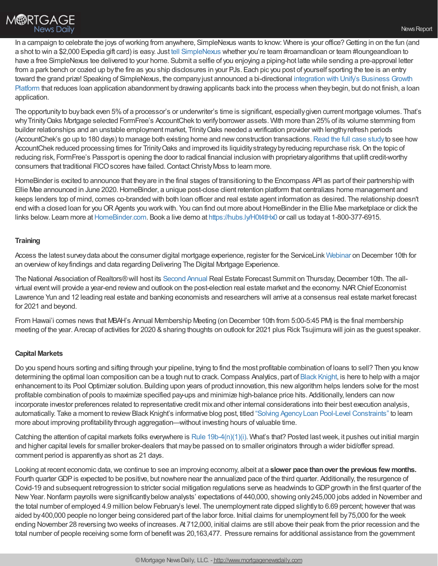In a campaign to celebrate the joys of working from anywhere, SimpleNexus wants to know: Where is your office? Getting in on the fun (and a shot to win a \$2,000 Expedia gift card) is easy. Just tell [SimpleNexus](https://bit.ly/3gl7qKW) whether you're team #roamandloan or team #loungeandloan to have a free SimpleNexus tee delivered to your home. Submit a selfie of you enjoying a piping-hot latte while sending a pre-approval letter from a park bench or cozied up by the fire as you ship disclosures in your PJs. Each pic you post of yourself sporting the tee is an entry toward the grand prize! Speaking of [SimpleNexus,](https://bit.ly/2VQmdnC) the companyjust announced a bi-directional integration with Unify's Business Growth Platform that reduces loan application abandonment bydrawing applicants back into the process when theybegin, but do not finish, a loan application.

The opportunityto buyback even 5%of a processor's or underwriter's time is significant, especiallygiven current mortgage volumes. That's why Trinity Oaks Mortgage selected FormFree's AccountChek to verify borrower assets. With more than 25% of its volume stemming from builder relationships and an unstable employment market, TrinityOaks needed a verification provider with lengthyrefresh periods (AccountChek's go up to 180 days) to manage both existing home and newconstruction transactions.[Read](https://www.formfree.com/trinity-oaks-mortgage-case-study) the full case studyto see how AccountChek reduced processing times for Trinity Oaks and improved its liquidity strategy by reducing repurchase risk. On the topic of reducing risk, FormFree's Passport is opening the door to radical financial inclusion with proprietaryalgorithms that uplift credit-worthy consumers that traditional FICOscores have failed.ContactChristyMoss to learn more.

HomeBinder is excited to announce that theyare in the final stages of transitioning to the Encompass API as part of their partnership with Ellie Mae announced in June 2020.HomeBinder, a unique post-close client retention platform that centralizes home management and keeps lenders top of mind, comes co-branded with both loan officer and real estate agent information as desired. The relationship doesn't end with a closed loan for you OR Agents you work with. You can find out more about HomeBinder in the Ellie Mae marketplace or click the links below. Learn more at [HomeBinder.com.](http://homebinder.com/) Book a live demo at <https://hubs.ly/H0t4tHx0> or call us today at 1-800-377-6915.

### **Training**

Access the latest surveydata about the consumer digital mortgage experience, register for the ServiceLink [Webinar](https://event.on24.com/eventRegistration/EventLobbyServlet?target=reg20.jsp&partnerref=MP1&std2=promotion&std3=JavelinWebinar&utm_source=National%252BMortgage%252BProfessional%252BMagazine&utm_campaign=0de148fdee-EMAIL_CAMPAIGN_2020_10_05_07_17_COPY_01&utm_medium=email&utm_term=0_4a91388747-0de148fdee-70997078&eventid=2831218&sessionid=1&key=48D12CAD2BAF66AA206EA9829AA03FEB®Tag=&sourcepage=register) on December 10th for an overviewof keyfindings and data regarding Delivering The Digital Mortgage Experience.

The National Association of Realtors® will host its [Second](https://www.nar.realtor/events/nar-real-estate-forecast-summit) Annual Real Estate Forecast Summit on Thursday, December 10th. The allvirtual event will provide a year-end review and outlook on the post-election real estate market and the economy. NAR Chief Economist Lawrence Yun and 12 leading real estate and banking economists and researchers will arrive at a consensus real estate market forecast for 2021 and beyond.

From Hawai'i comes news that MBAH's Annual Membership Meeting (on December 10th from 5:00-5:45 PM) is the final membership meeting of the year. Arecap of activities for 2020 &sharing thoughts on outlook for 2021 plus Rick Tsujimura will join as the guest speaker.

#### **Capital Markets**

Do you spend hours sorting and sifting through your pipeline, trying to find the most profitable combination of loans to sell? Then you know determining the optimal loan composition can be a tough nut to crack. Compass Analytics, part of Black [Knight](https://www.blackknightinc.com/), is here to help with a major enhancement to its Pool Optimizer solution. Building upon years of product innovation, this newalgorithm helps lenders solve for the most profitable combination of pools to maximize specified pay-ups and minimize high-balance price hits. Additionally, lenders can now incorporate investor preferences related to representative credit mixand other internal considerations into their best execution analysis, automatically. Take a moment to review Black Knight's informative blog post, titled "Solving Agency Loan Pool-Level Constraints" to learn more about improving profitability through aggregation—without investing hours of valuable time.

Catching the attention of capital markets folks everywhere is Rule 19b-4 $(n)(1)(i)$ . What's that? Posted last week, it pushes out initial margin and higher capital levels for smaller broker-dealers that maybe passed on to smaller originators through a wider bid/offer spread. comment period is apparentlyas short as 21 days.

Looking at recent economic data, we continue to see an improving economy, albeit at a **slower pace than over the previous few months.** Fourth quarter GDP is expected to be positive, but nowhere near the annualized pace of the third quarter. Additionally, the resurgence of Covid-19 and subsequent retrogression to stricter social mitigation regulations serve as headwinds toGDPgrowth in the first quarter of the New Year. Nonfarm payrolls were significantly below analysts' expectations of 440,000, showing only 245,000 jobs added in November and the total number of employed 4.9 million below February's level. The unemployment rate dipped slightly to 6.69 percent; however that was aided by400,000 people no longer being considered part of the labor force. Initial claims for unemployment fell by75,000 for the week ending November 28 reversing two weeks of increases. At 712,000, initial claims are still above their peak from the prior recession and the total number of people receiving some form of benefit was 20,163,477. Pressure remains for additional assistance from the government